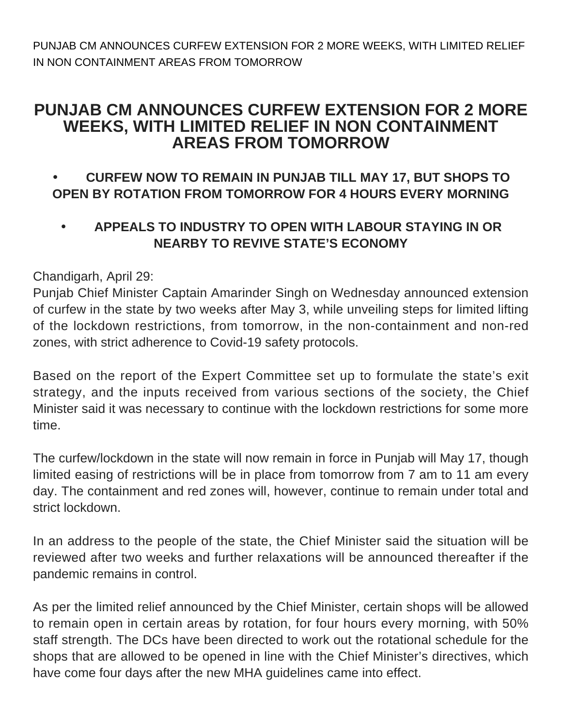PUNJAB CM ANNOUNCES CURFEW EXTENSION FOR 2 MORE WEEKS, WITH LIMITED RELIEF IN NON CONTAINMENT AREAS FROM TOMORROW

## **PUNJAB CM ANNOUNCES CURFEW EXTENSION FOR 2 MORE WEEKS, WITH LIMITED RELIEF IN NON CONTAINMENT AREAS FROM TOMORROW**

## • **CURFEW NOW TO REMAIN IN PUNJAB TILL MAY 17, BUT SHOPS TO OPEN BY ROTATION FROM TOMORROW FOR 4 HOURS EVERY MORNING**

• **APPEALS TO INDUSTRY TO OPEN WITH LABOUR STAYING IN OR NEARBY TO REVIVE STATE'S ECONOMY**

## Chandigarh, April 29:

Punjab Chief Minister Captain Amarinder Singh on Wednesday announced extension of curfew in the state by two weeks after May 3, while unveiling steps for limited lifting of the lockdown restrictions, from tomorrow, in the non-containment and non-red zones, with strict adherence to Covid-19 safety protocols.

Based on the report of the Expert Committee set up to formulate the state's exit strategy, and the inputs received from various sections of the society, the Chief Minister said it was necessary to continue with the lockdown restrictions for some more time.

The curfew/lockdown in the state will now remain in force in Punjab will May 17, though limited easing of restrictions will be in place from tomorrow from 7 am to 11 am every day. The containment and red zones will, however, continue to remain under total and strict lockdown.

In an address to the people of the state, the Chief Minister said the situation will be reviewed after two weeks and further relaxations will be announced thereafter if the pandemic remains in control.

As per the limited relief announced by the Chief Minister, certain shops will be allowed to remain open in certain areas by rotation, for four hours every morning, with 50% staff strength. The DCs have been directed to work out the rotational schedule for the shops that are allowed to be opened in line with the Chief Minister's directives, which have come four days after the new MHA guidelines came into effect.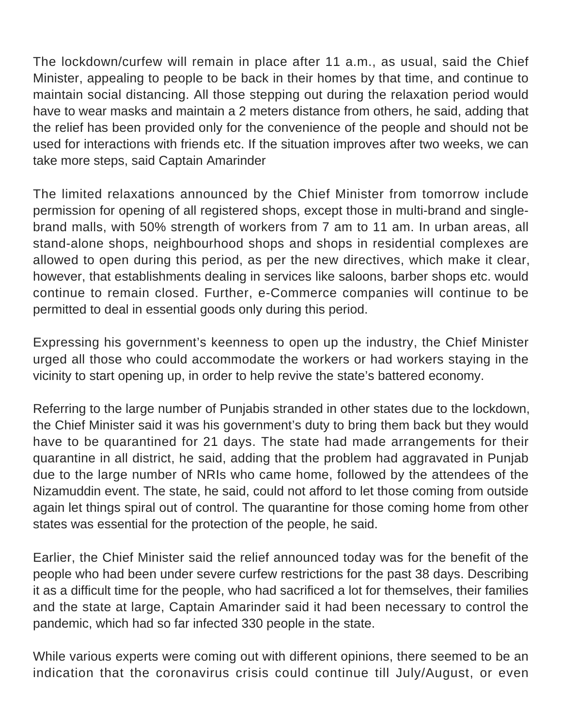The lockdown/curfew will remain in place after 11 a.m., as usual, said the Chief Minister, appealing to people to be back in their homes by that time, and continue to maintain social distancing. All those stepping out during the relaxation period would have to wear masks and maintain a 2 meters distance from others, he said, adding that the relief has been provided only for the convenience of the people and should not be used for interactions with friends etc. If the situation improves after two weeks, we can take more steps, said Captain Amarinder

The limited relaxations announced by the Chief Minister from tomorrow include permission for opening of all registered shops, except those in multi-brand and singlebrand malls, with 50% strength of workers from 7 am to 11 am. In urban areas, all stand-alone shops, neighbourhood shops and shops in residential complexes are allowed to open during this period, as per the new directives, which make it clear, however, that establishments dealing in services like saloons, barber shops etc. would continue to remain closed. Further, e-Commerce companies will continue to be permitted to deal in essential goods only during this period.

Expressing his government's keenness to open up the industry, the Chief Minister urged all those who could accommodate the workers or had workers staying in the vicinity to start opening up, in order to help revive the state's battered economy.

Referring to the large number of Punjabis stranded in other states due to the lockdown, the Chief Minister said it was his government's duty to bring them back but they would have to be quarantined for 21 days. The state had made arrangements for their quarantine in all district, he said, adding that the problem had aggravated in Punjab due to the large number of NRIs who came home, followed by the attendees of the Nizamuddin event. The state, he said, could not afford to let those coming from outside again let things spiral out of control. The quarantine for those coming home from other states was essential for the protection of the people, he said.

Earlier, the Chief Minister said the relief announced today was for the benefit of the people who had been under severe curfew restrictions for the past 38 days. Describing it as a difficult time for the people, who had sacrificed a lot for themselves, their families and the state at large, Captain Amarinder said it had been necessary to control the pandemic, which had so far infected 330 people in the state.

While various experts were coming out with different opinions, there seemed to be an indication that the coronavirus crisis could continue till July/August, or even